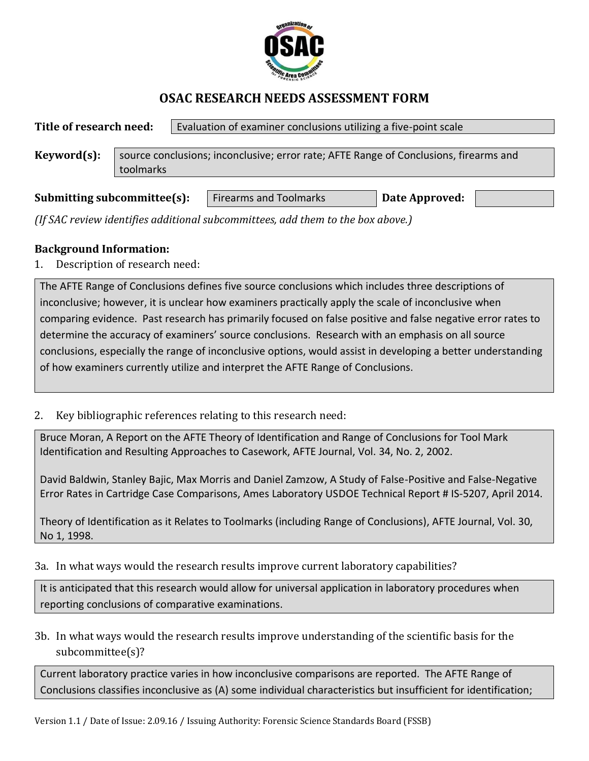

## **OSAC RESEARCH NEEDS ASSESSMENT FORM**

| Title of research need:     |                                                                                                    | Evaluation of examiner conclusions utilizing a five-point scale |                |  |  |
|-----------------------------|----------------------------------------------------------------------------------------------------|-----------------------------------------------------------------|----------------|--|--|
| Keyword(s):                 | source conclusions; inconclusive; error rate; AFTE Range of Conclusions, firearms and<br>toolmarks |                                                                 |                |  |  |
| Submitting subcommittee(s): |                                                                                                    | <b>Firearms and Toolmarks</b>                                   | Date Approved: |  |  |

*(If SAC review identifies additional subcommittees, add them to the box above.)*

## **Background Information:**

1. Description of research need:

The AFTE Range of Conclusions defines five source conclusions which includes three descriptions of inconclusive; however, it is unclear how examiners practically apply the scale of inconclusive when comparing evidence. Past research has primarily focused on false positive and false negative error rates to determine the accuracy of examiners' source conclusions. Research with an emphasis on all source conclusions, especially the range of inconclusive options, would assist in developing a better understanding of how examiners currently utilize and interpret the AFTE Range of Conclusions.

2. Key bibliographic references relating to this research need:

Bruce Moran, A Report on the AFTE Theory of Identification and Range of Conclusions for Tool Mark Identification and Resulting Approaches to Casework, AFTE Journal, Vol. 34, No. 2, 2002.

David Baldwin, Stanley Bajic, Max Morris and Daniel Zamzow, A Study of False-Positive and False-Negative Error Rates in Cartridge Case Comparisons, Ames Laboratory USDOE Technical Report # IS-5207, April 2014.

Theory of Identification as it Relates to Toolmarks (including Range of Conclusions), AFTE Journal, Vol. 30, No 1, 1998.

3a. In what ways would the research results improve current laboratory capabilities?

It is anticipated that this research would allow for universal application in laboratory procedures when reporting conclusions of comparative examinations.

3b. In what ways would the research results improve understanding of the scientific basis for the subcommittee(s)?

Current laboratory practice varies in how inconclusive comparisons are reported. The AFTE Range of Conclusions classifies inconclusive as (A) some individual characteristics but insufficient for identification;